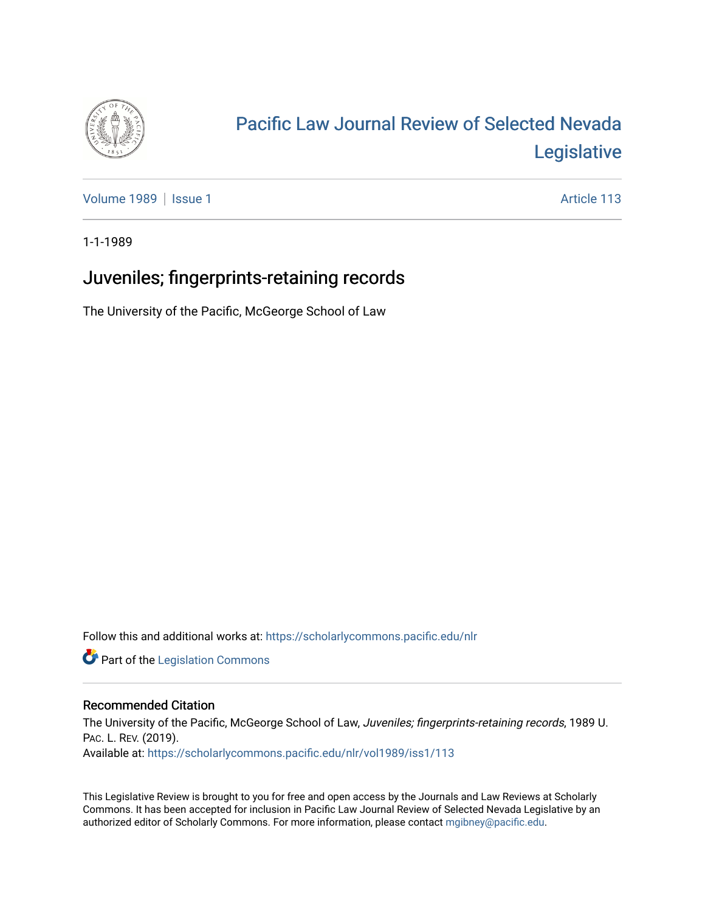

## [Pacific Law Journal Review of Selected Nevada](https://scholarlycommons.pacific.edu/nlr)  [Legislative](https://scholarlycommons.pacific.edu/nlr)

[Volume 1989](https://scholarlycommons.pacific.edu/nlr/vol1989) | [Issue 1](https://scholarlycommons.pacific.edu/nlr/vol1989/iss1) Article 113

1-1-1989

## Juveniles; fingerprints-retaining records

The University of the Pacific, McGeorge School of Law

Follow this and additional works at: [https://scholarlycommons.pacific.edu/nlr](https://scholarlycommons.pacific.edu/nlr?utm_source=scholarlycommons.pacific.edu%2Fnlr%2Fvol1989%2Fiss1%2F113&utm_medium=PDF&utm_campaign=PDFCoverPages) 

**Part of the [Legislation Commons](http://network.bepress.com/hgg/discipline/859?utm_source=scholarlycommons.pacific.edu%2Fnlr%2Fvol1989%2Fiss1%2F113&utm_medium=PDF&utm_campaign=PDFCoverPages)** 

## Recommended Citation

The University of the Pacific, McGeorge School of Law, Juveniles; fingerprints-retaining records, 1989 U. PAC. L. REV. (2019). Available at: [https://scholarlycommons.pacific.edu/nlr/vol1989/iss1/113](https://scholarlycommons.pacific.edu/nlr/vol1989/iss1/113?utm_source=scholarlycommons.pacific.edu%2Fnlr%2Fvol1989%2Fiss1%2F113&utm_medium=PDF&utm_campaign=PDFCoverPages) 

This Legislative Review is brought to you for free and open access by the Journals and Law Reviews at Scholarly Commons. It has been accepted for inclusion in Pacific Law Journal Review of Selected Nevada Legislative by an authorized editor of Scholarly Commons. For more information, please contact [mgibney@pacific.edu](mailto:mgibney@pacific.edu).